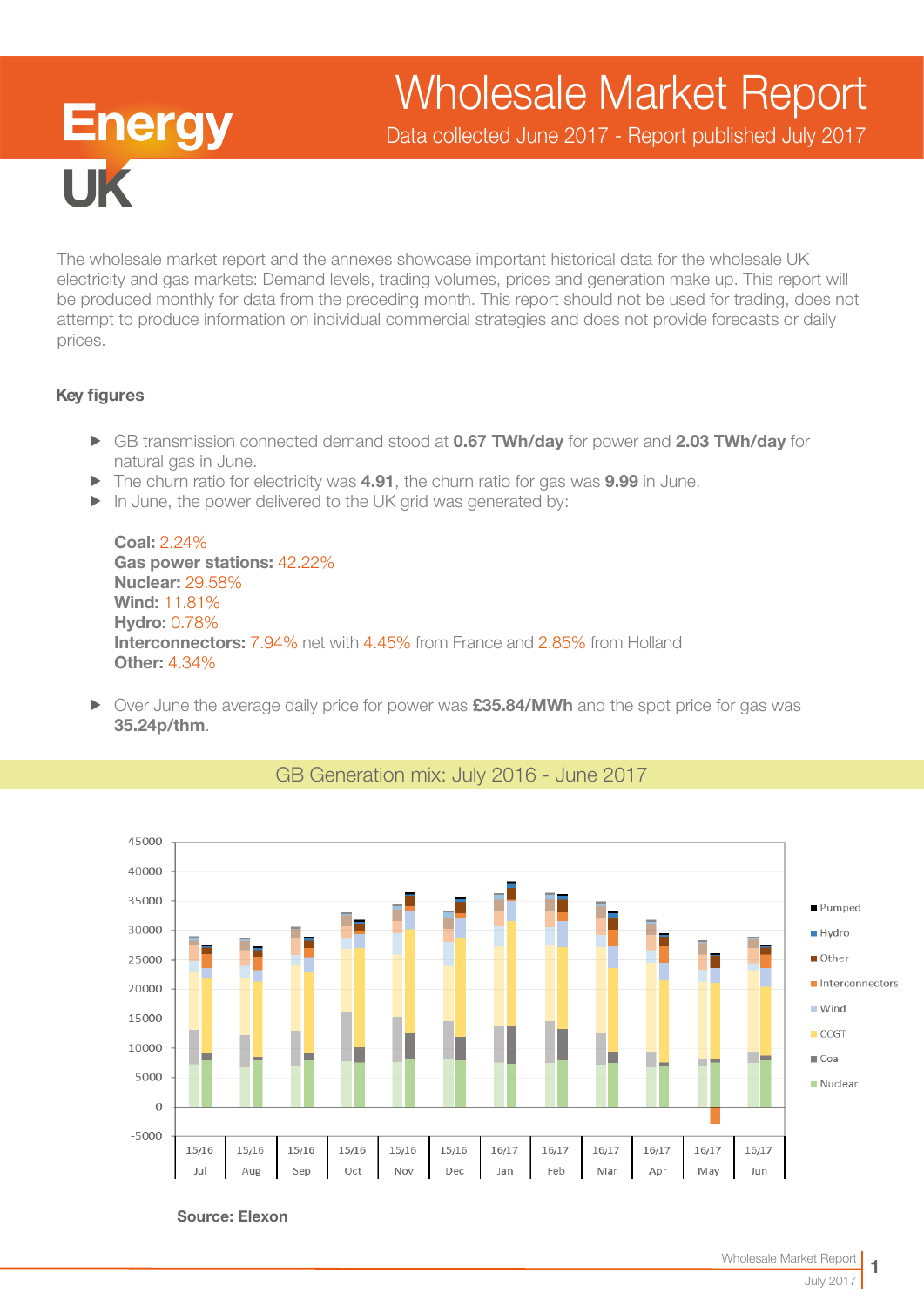# Wholesale Market Report

Data collected June 2017 - Report published July 2017

The wholesale market report and the annexes showcase important historical data for the wholesale UK electricity and gas markets: Demand levels, trading volumes, prices and generation make up. This report will be produced monthly for data from the preceding month. This report should not be used for trading, does not attempt to produce information on individual commercial strategies and does not provide forecasts or daily prices.

#### Key figures

**Energy** 

- ► GB transmission connected demand stood at 0.67 TWh/day for power and 2.03 TWh/day for natural gas in June.
- $\blacktriangleright$  The churn ratio for electricity was 4.91, the churn ratio for gas was 9.99 in June.
- $\blacktriangleright$  In June, the power delivered to the UK grid was generated by:

Coal: 2.24% Gas power stations: 42.22% Nuclear: 29.58% Wind: 11.81% Hydro: 0.78% Interconnectors: 7.94% net with 4.45% from France and 2.85% from Holland Other: 4.34%

F Over June the average daily price for power was **£35.84/MWh** and the spot price for gas was 35.24p/thm.



## GB Generation mix: July 2016 - June 2017

Source: Elexon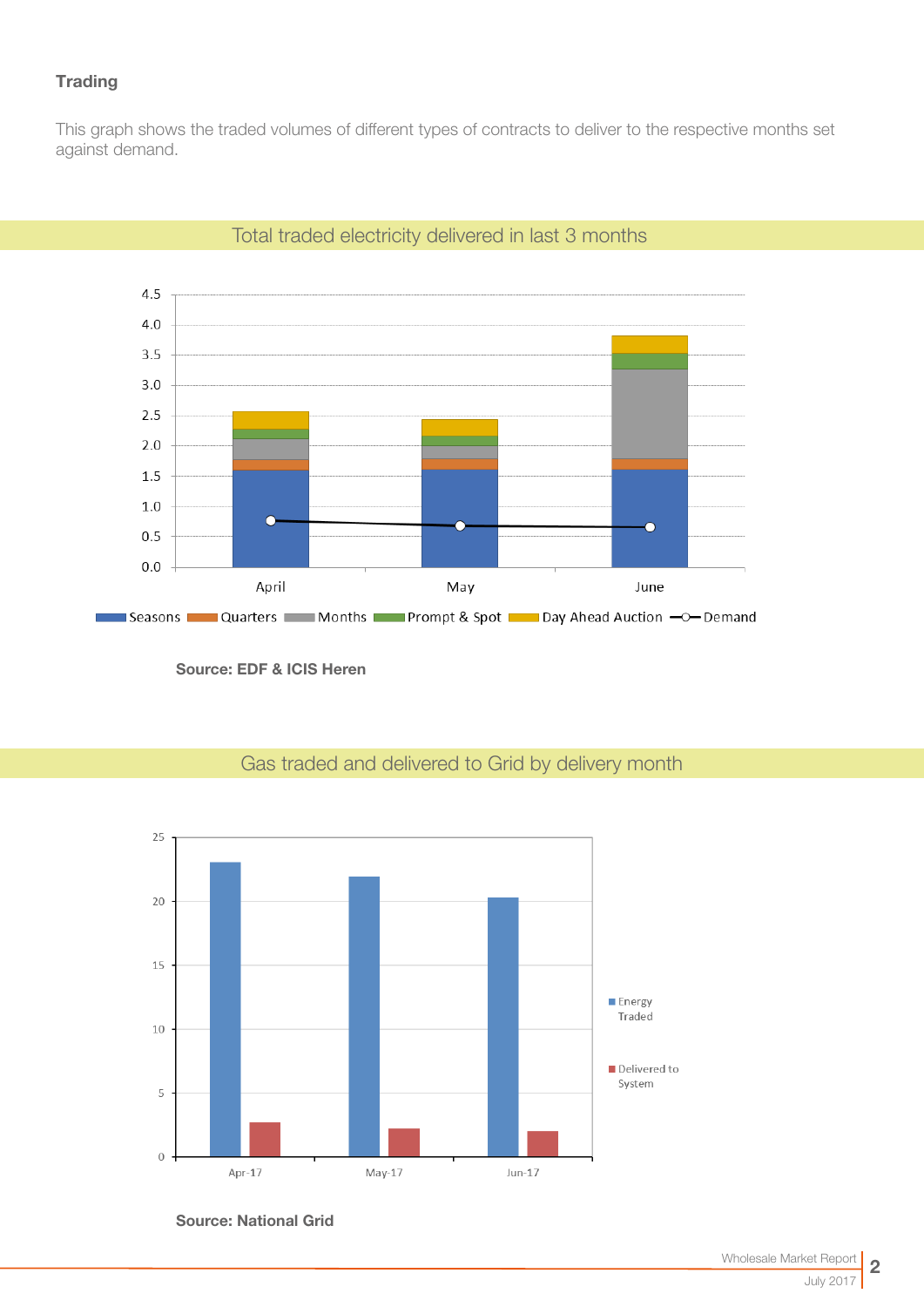## **Trading**

This graph shows the traded volumes of different types of contracts to deliver to the respective months set against demand.



Total traded electricity delivered in last 3 months

Source: EDF & ICIS Heren

## Gas traded and delivered to Grid by delivery month



Source: National Grid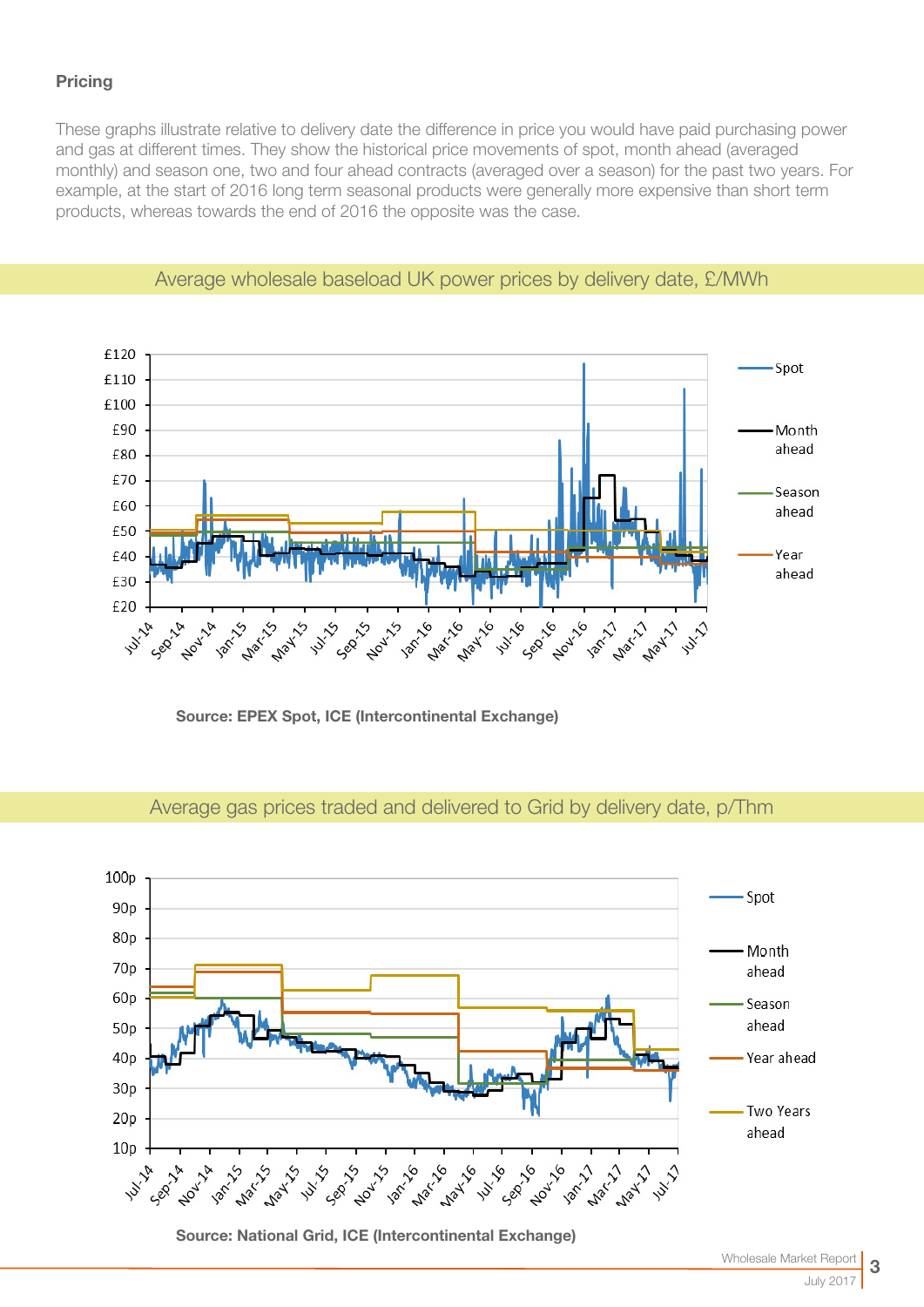## **Pricing**

These graphs illustrate relative to delivery date the difference in price you would have paid purchasing power and gas at different times. They show the historical price movements of spot, month ahead (averaged monthly) and season one, two and four ahead contracts (averaged over a season) for the past two years. For example, at the start of 2016 long term seasonal products were generally more expensive than short term products, whereas towards the end of 2016 the opposite was the case.



## Average wholesale baseload UK power prices by delivery date, £/MWh

Source: EPEX Spot, ICE (Intercontinental Exchange)

Source: National Grid, ICE (Intercontinental Exchange)

#### 100<sub>p</sub> Spot 90<sub>p</sub> 80<sub>p</sub> Month  $70p$ ahead 60<sub>p</sub> Season ahead 50<sub>p</sub>  $40p$ Year ahead  $30<sub>p</sub>$ **Two Years**  $20p$ ahead  $10<sub>p</sub>$ **14.17 Millips 12m/11 May 11 Mary's NOW! 1204 Nov**  $\mathbb{R}^d$

Average gas prices traded and delivered to Grid by delivery date, p/Thm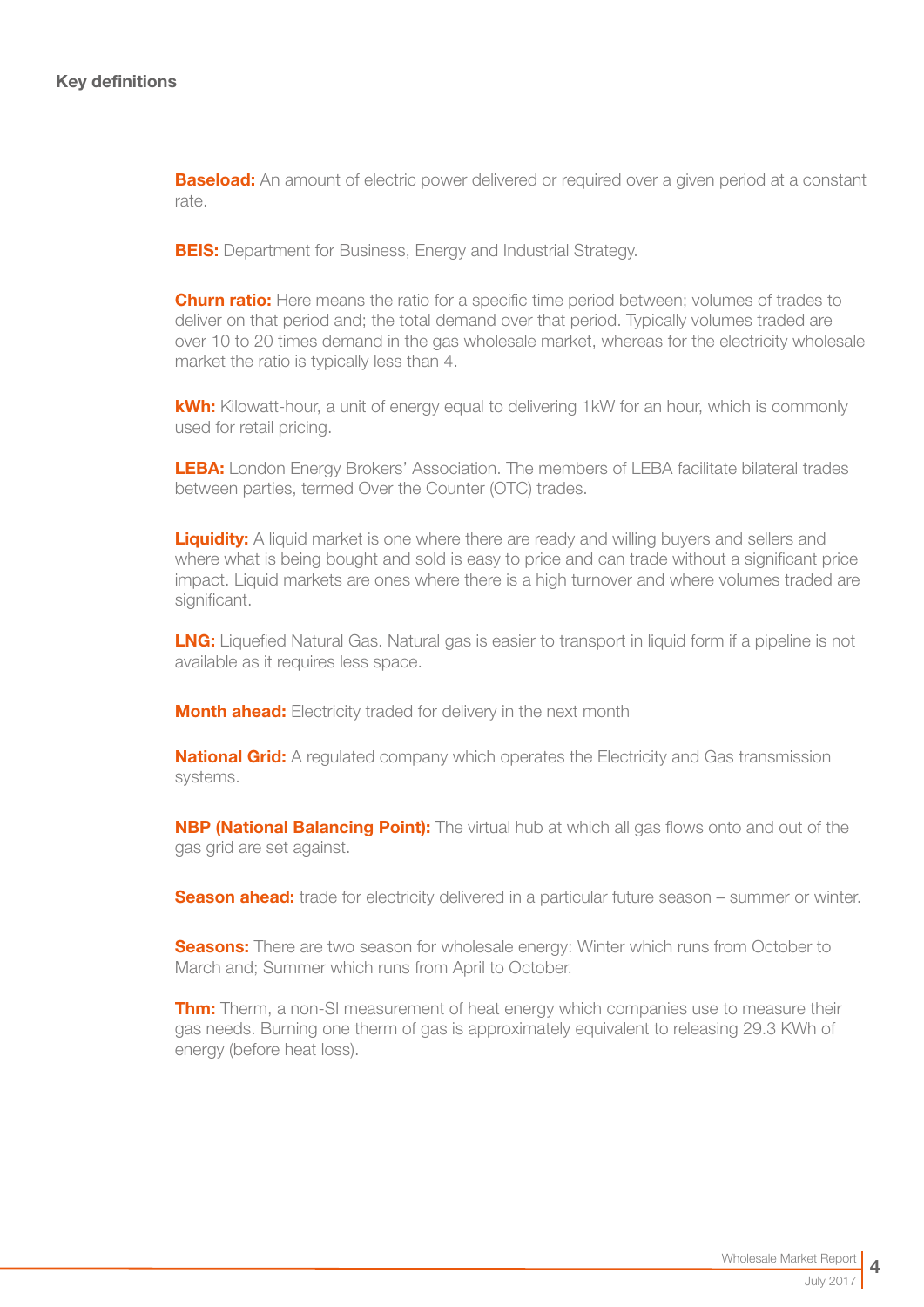**Baseload:** An amount of electric power delivered or required over a given period at a constant rate.

**BEIS:** Department for Business, Energy and Industrial Strategy.

**Churn ratio:** Here means the ratio for a specific time period between; volumes of trades to deliver on that period and; the total demand over that period. Typically volumes traded are over 10 to 20 times demand in the gas wholesale market, whereas for the electricity wholesale market the ratio is typically less than 4.

kWh: Kilowatt-hour, a unit of energy equal to delivering 1kW for an hour, which is commonly used for retail pricing.

LEBA: London Energy Brokers' Association. The members of LEBA facilitate bilateral trades between parties, termed Over the Counter (OTC) trades.

**Liquidity:** A liquid market is one where there are ready and willing buyers and sellers and where what is being bought and sold is easy to price and can trade without a significant price impact. Liquid markets are ones where there is a high turnover and where volumes traded are significant.

**LNG:** Liquefied Natural Gas. Natural gas is easier to transport in liquid form if a pipeline is not available as it requires less space.

**Month ahead:** Electricity traded for delivery in the next month

**National Grid:** A regulated company which operates the Electricity and Gas transmission systems.

**NBP (National Balancing Point):** The virtual hub at which all gas flows onto and out of the gas grid are set against.

**Season ahead:** trade for electricity delivered in a particular future season – summer or winter.

**Seasons:** There are two season for wholesale energy: Winter which runs from October to March and; Summer which runs from April to October.

**Thm:** Therm, a non-SI measurement of heat energy which companies use to measure their gas needs. Burning one therm of gas is approximately equivalent to releasing 29.3 KWh of energy (before heat loss).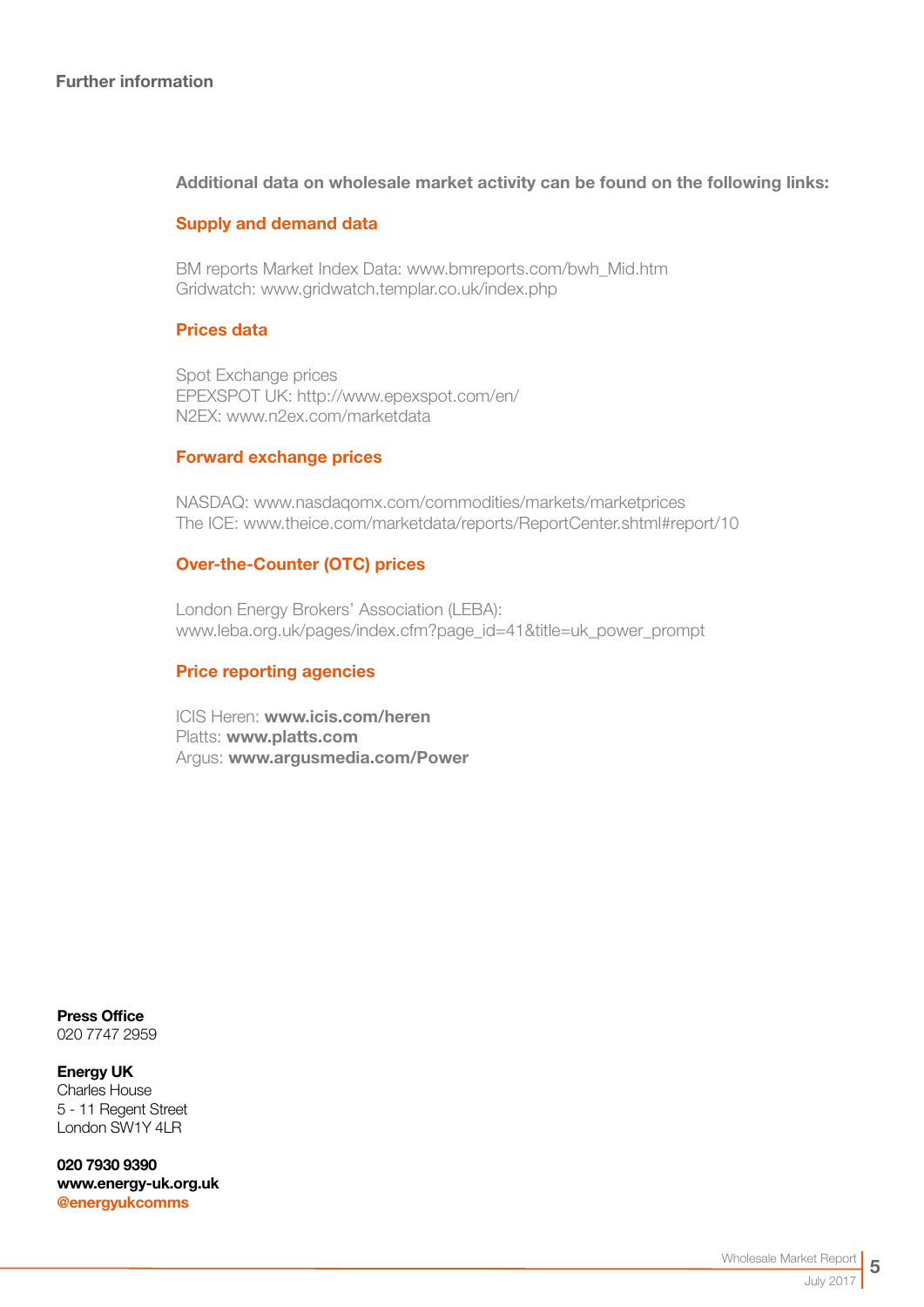#### Additional data on wholesale market activity can be found on the following links:

#### Supply and demand data

BM reports Market Index Data[: www.bmreports.com/bwh\\_Mid.htm](http://www.bmreports.com/bwh_Mid.htm)  Gridwatch[: www.gridwatch.templar.co.uk/index.php](http://www.gridwatch.templar.co.uk/index.php)

#### Prices data

Spot Exchange prices EPEXSPOT UK: http://www.epexspot.com/en/ N2EX: [www.n2ex.com/marketdata](http://www.nordpoolspot.com/Market-data1/N2EX/) 

#### Forward exchange prices

NASDAQ: [www.nasdaqomx.com/commodities/markets/marketprices](http://www.nasdaqomx.com/commodities/markets/marketprices )  The ICE: [www.theice.com/marketdata/reports/ReportCenter.shtml#report/10](http://www.theice.com/marketdata/reports/ReportCenter.shtml#report/10 )

#### Over-the-Counter (OTC) prices

London Energy Brokers' Association (LEBA): [www.leba.org.uk/pages/index.cfm?page\\_id=41&title=uk\\_power\\_prompt](http://www.leba.org.uk/pages/index.cfm?page_id=41&title=uk_power_prompt 
) 

#### Price reporting agencies

ICIS Heren: [www.icis.com/heren](http://www.icis.com/heren)  Platts: [www.platts.com](http://www.platts.com/) Argus: [www.argusmedia.com/Power](http://www.argusmedia.com/Power)

Press Office 020 7747 2959

Energy UK Charles House 5 - 11 Regent Street London SW1Y 4LR

020 7930 9390 [www.energy-uk.org.uk](http://www.energy-uk.org.uk) [@energyukcomms](http://twitter.com/EnergyUKcomms)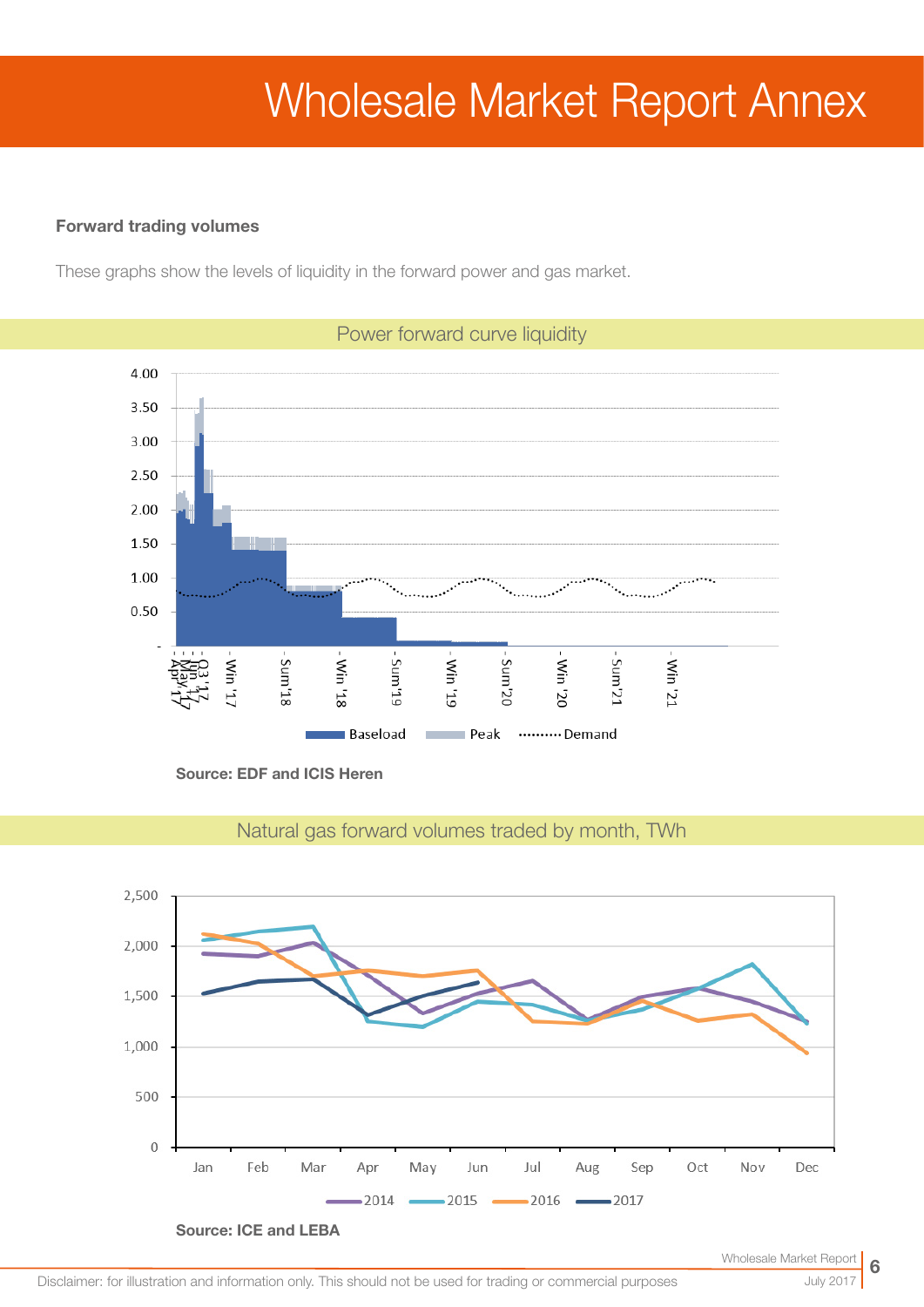# Wholesale Market Report Annex

#### Forward trading volumes

These graphs show the levels of liquidity in the forward power and gas market.



Power forward curve liquidity

Source: EDF and ICIS Heren



Natural gas forward volumes traded by month, TWh

July 2017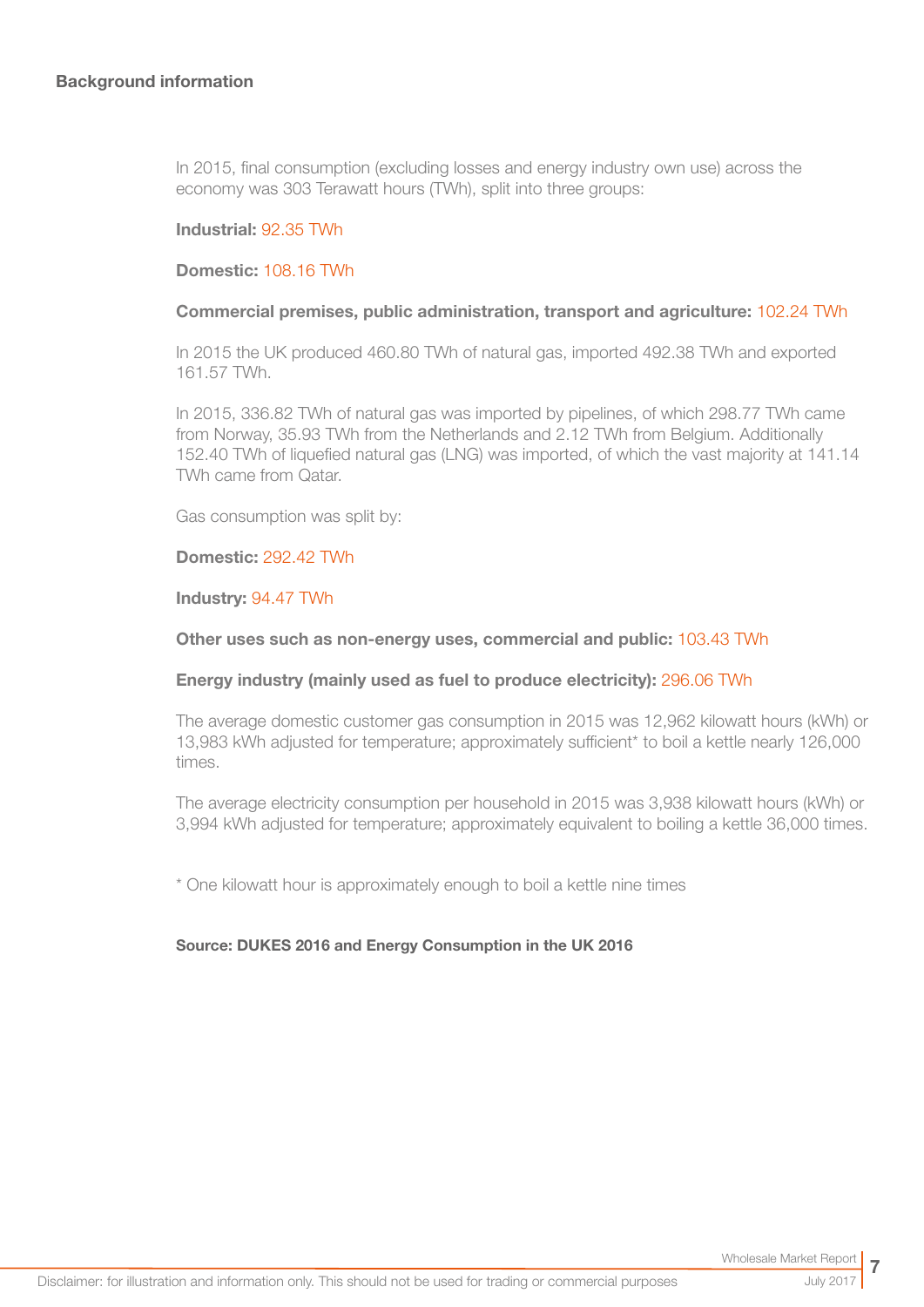In 2015, final consumption (excluding losses and energy industry own use) across the economy was 303 Terawatt hours (TWh), split into three groups:

#### Industrial: 92.35 TWh

#### Domestic: 108.16 TWh

#### Commercial premises, public administration, transport and agriculture: 102.24 TWh

In 2015 the UK produced 460.80 TWh of natural gas, imported 492.38 TWh and exported 161.57 TWh.

In 2015, 336.82 TWh of natural gas was imported by pipelines, of which 298.77 TWh came from Norway, 35.93 TWh from the Netherlands and 2.12 TWh from Belgium. Additionally 152.40 TWh of liquefied natural gas (LNG) was imported, of which the vast majority at 141.14 TWh came from Qatar.

Gas consumption was split by:

#### Domestic: 292.42 TWh

#### Industry: 94.47 TWh

#### Other uses such as non-energy uses, commercial and public: 103.43 TWh

#### Energy industry (mainly used as fuel to produce electricity): 296.06 TWh

The average domestic customer gas consumption in 2015 was 12,962 kilowatt hours (kWh) or 13,983 kWh adjusted for temperature; approximately sufficient\* to boil a kettle nearly 126,000 times.

The average electricity consumption per household in 2015 was 3,938 kilowatt hours (kWh) or 3,994 kWh adjusted for temperature; approximately equivalent to boiling a kettle 36,000 times.

\* One kilowatt hour is approximately enough to boil a kettle nine times

#### Source: DUKES 2016 and Energy Consumption in the UK 2016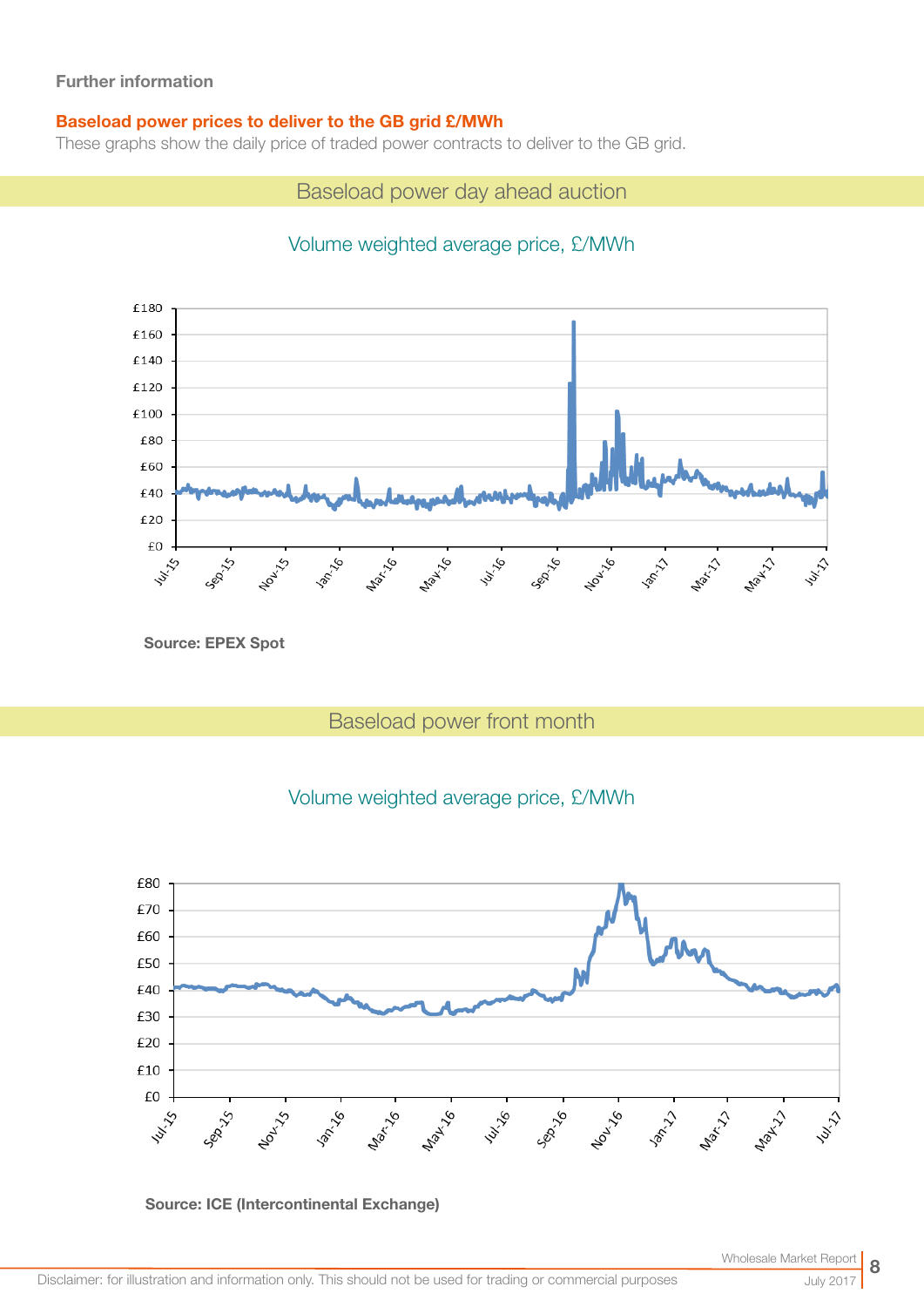#### Baseload power prices to deliver to the GB grid £/MWh

These graphs show the daily price of traded power contracts to deliver to the GB grid.

Baseload power day ahead auction

## Volume weighted average price, £/MWh



Source: EPEX Spot

## Baseload power front month





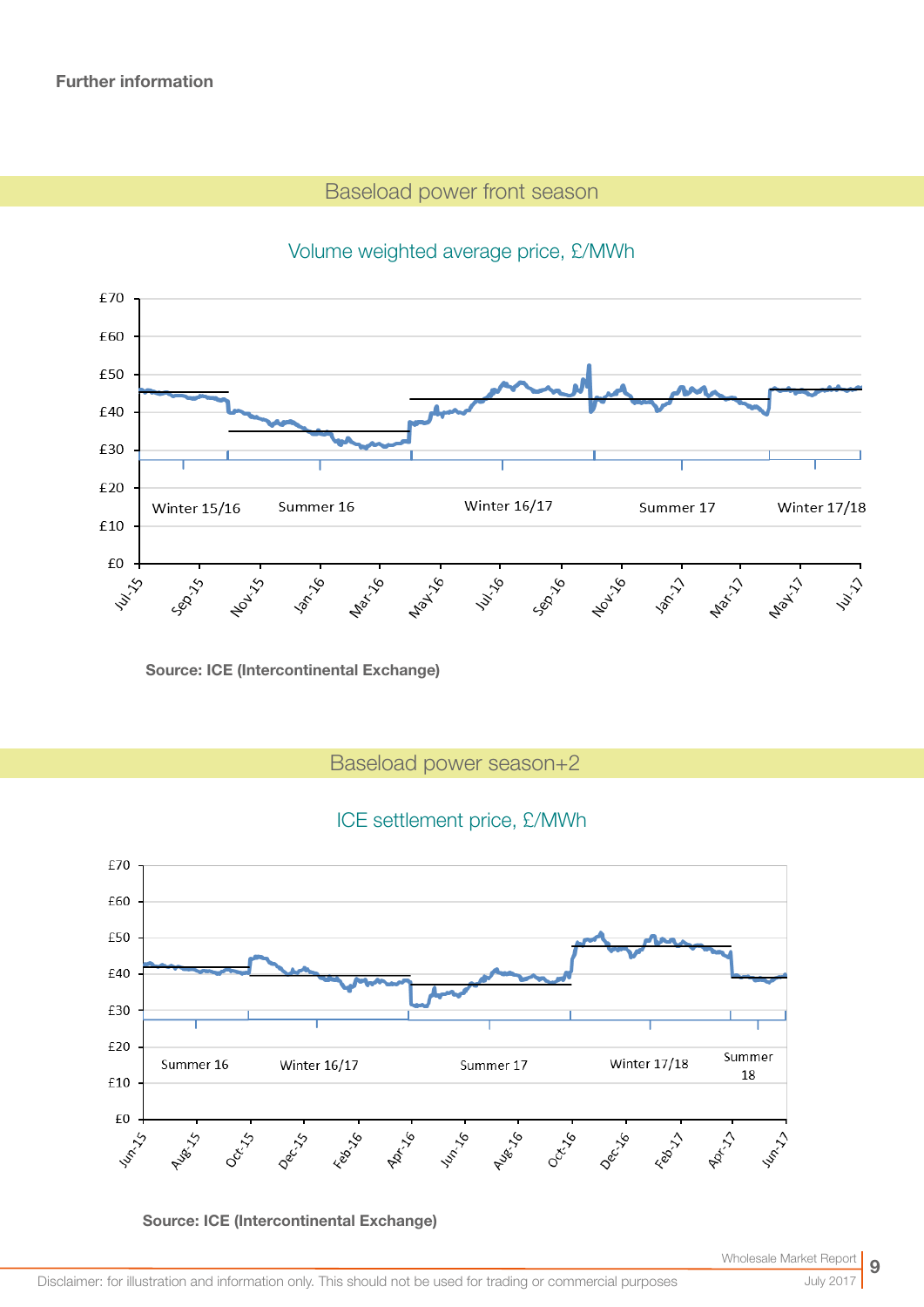## Baseload power front season



## Volume weighted average price, £/MWh

Source: ICE (Intercontinental Exchange)

Baseload power season+2

## ICE settlement price, £/MWh



Source: ICE (Intercontinental Exchange)

Wholesale Market

July 2017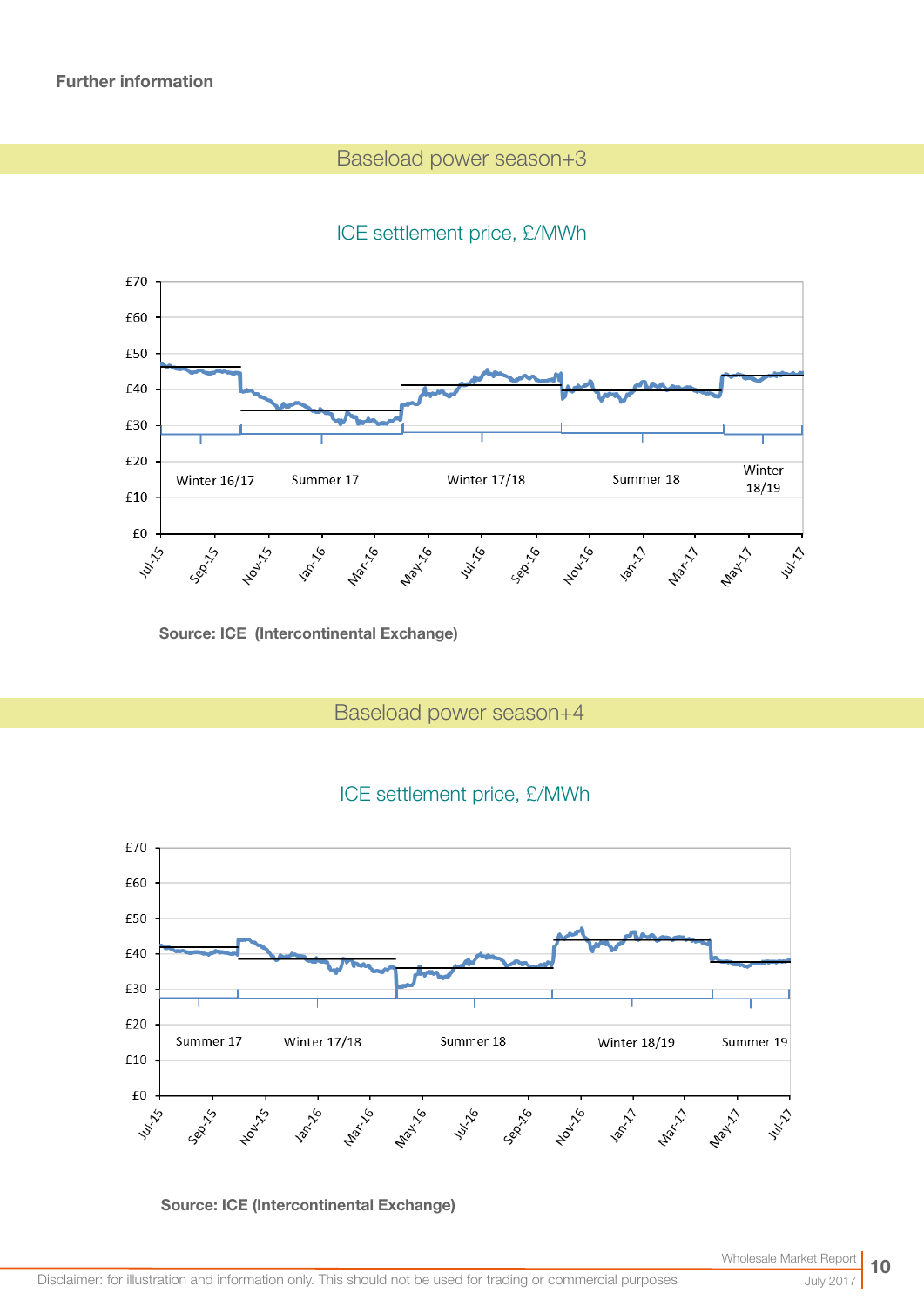## Baseload power season+3

## ICE settlement price, £/MWh



Source: ICE (Intercontinental Exchange)

Baseload power season+4





Source: ICE (Intercontinental Exchange)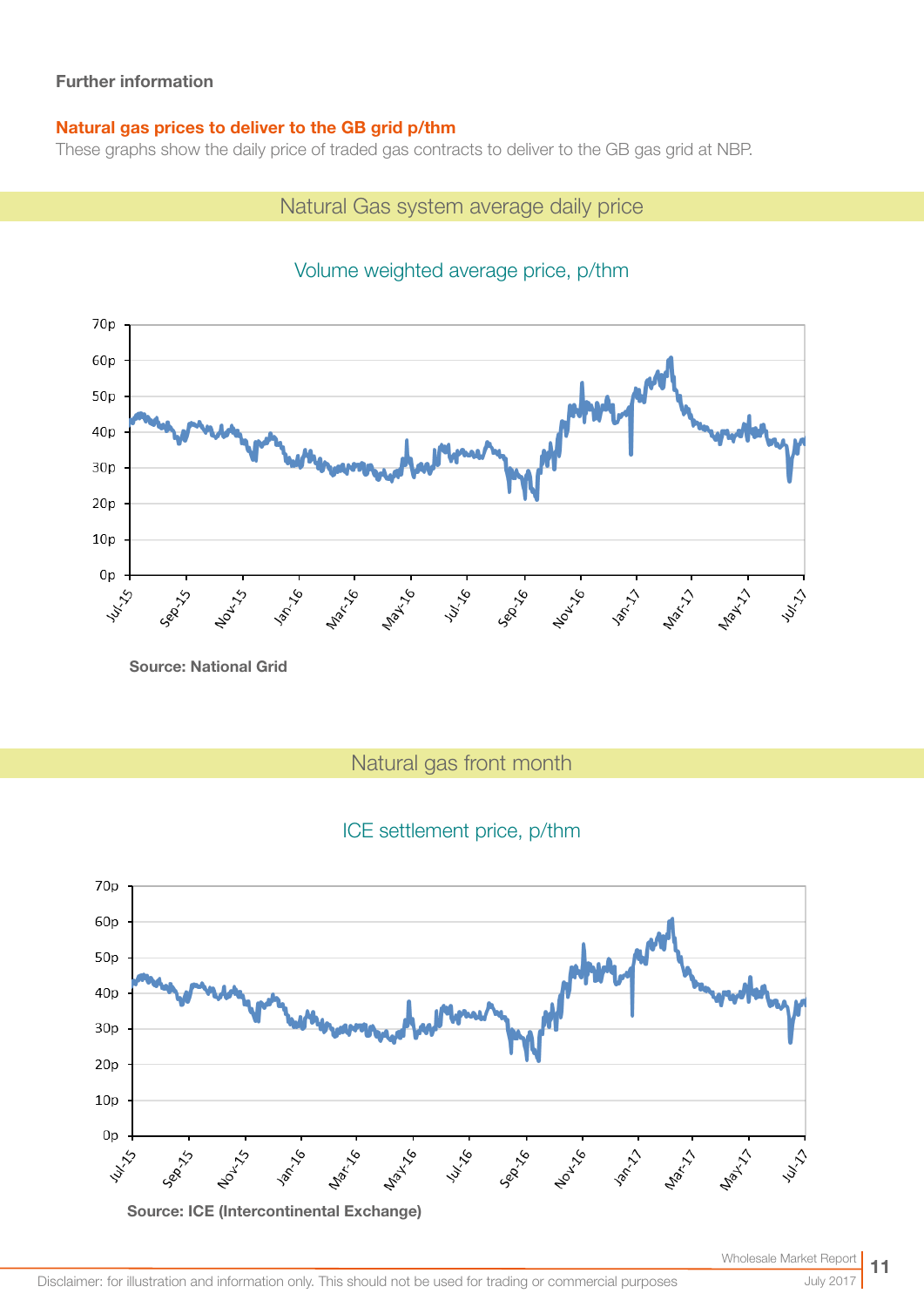### Natural gas prices to deliver to the GB grid p/thm

These graphs show the daily price of traded gas contracts to deliver to the GB gas grid at NBP.

## Natural Gas system average daily price



## Volume weighted average price, p/thm

Source: National Grid

Natural gas front month

## ICE settlement price, p/thm

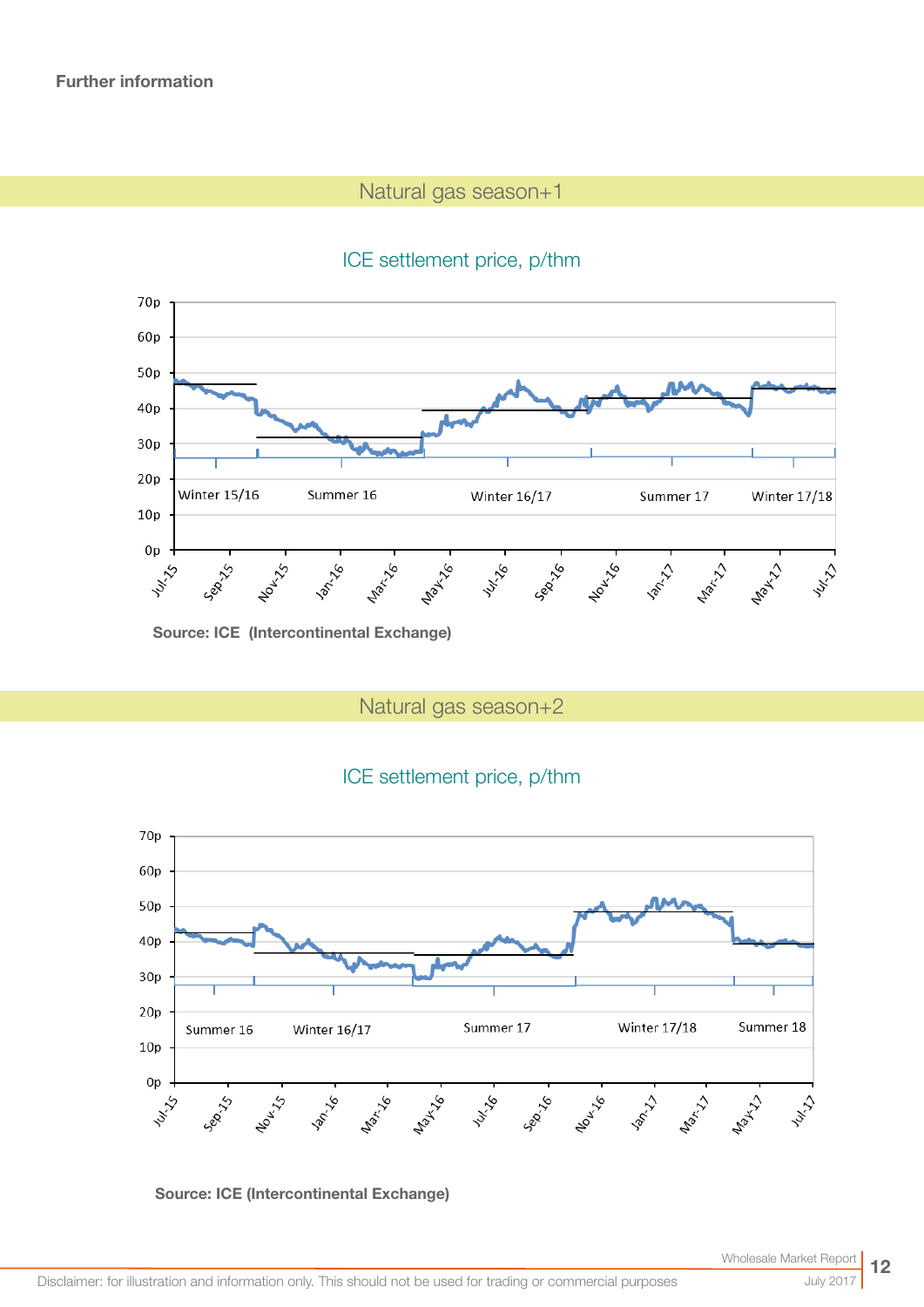## Natural gas season+1

## ICE settlement price, p/thm



Source: ICE (Intercontinental Exchange)

Natural gas season+2

## ICE settlement price, p/thm



#### Source: ICE (Intercontinental Exchange)